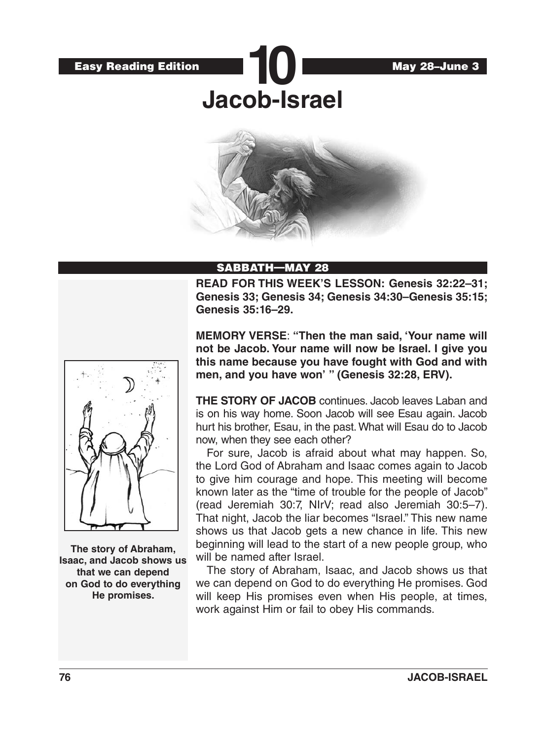

# SABBATH—MAY 28

**READ FOR THIS WEEK'S LESSON: Genesis 32:22–31; Genesis 33; Genesis 34; Genesis 34:30–Genesis 35:15; Genesis 35:16–29.**



**The story of Abraham, Isaac, and Jacob shows us that we can depend on God to do everything He promises.**

**MEMORY VERSE**: **"Then the man said, 'Your name will not be Jacob. Your name will now be Israel. I give you this name because you have fought with God and with men, and you have won' " (Genesis 32:28, ERV).** 

**THE STORY OF JACOB** continues. Jacob leaves Laban and is on his way home. Soon Jacob will see Esau again. Jacob hurt his brother, Esau, in the past. What will Esau do to Jacob now, when they see each other?

For sure, Jacob is afraid about what may happen. So, the Lord God of Abraham and Isaac comes again to Jacob to give him courage and hope. This meeting will become known later as the "time of trouble for the people of Jacob" (read Jeremiah 30:7, NIrV; read also Jeremiah 30:5–7). That night, Jacob the liar becomes "Israel." This new name shows us that Jacob gets a new chance in life. This new beginning will lead to the start of a new people group, who will be named after Israel.

The story of Abraham, Isaac, and Jacob shows us that we can depend on God to do everything He promises. God will keep His promises even when His people, at times, work against Him or fail to obey His commands.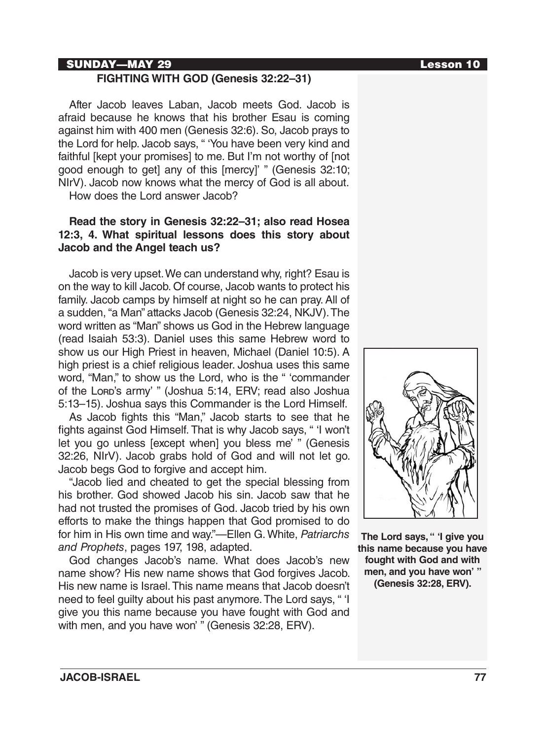### SUNDAY—MAY 29 Lesson 10

## **FIGHTING WITH GOD (Genesis 32:22–31)**

After Jacob leaves Laban, Jacob meets God. Jacob is afraid because he knows that his brother Esau is coming against him with 400 men (Genesis 32:6). So, Jacob prays to the Lord for help. Jacob says, " 'You have been very kind and faithful [kept your promises] to me. But I'm not worthy of [not good enough to get] any of this [mercy]' " (Genesis 32:10; NIrV). Jacob now knows what the mercy of God is all about. How does the Lord answer Jacob?

## **Read the story in Genesis 32:22–31; also read Hosea 12:3, 4. What spiritual lessons does this story about Jacob and the Angel teach us?**

Jacob is very upset. We can understand why, right? Esau is on the way to kill Jacob. Of course, Jacob wants to protect his family. Jacob camps by himself at night so he can pray. All of a sudden, "a Man" attacks Jacob (Genesis 32:24, NKJV). The word written as "Man" shows us God in the Hebrew language (read Isaiah 53:3). Daniel uses this same Hebrew word to show us our High Priest in heaven, Michael (Daniel 10:5). A high priest is a chief religious leader. Joshua uses this same word, "Man," to show us the Lord, who is the " 'commander of the Lord's army' " (Joshua 5:14, ERV; read also Joshua 5:13–15). Joshua says this Commander is the Lord Himself.

As Jacob fights this "Man," Jacob starts to see that he fights against God Himself. That is why Jacob says, " 'I won't let you go unless [except when] you bless me' " (Genesis 32:26, NIrV). Jacob grabs hold of God and will not let go. Jacob begs God to forgive and accept him.

"Jacob lied and cheated to get the special blessing from his brother. God showed Jacob his sin. Jacob saw that he had not trusted the promises of God. Jacob tried by his own efforts to make the things happen that God promised to do for him in His own time and way."—Ellen G. White, *Patriarchs and Prophets*, pages 197, 198, adapted.

God changes Jacob's name. What does Jacob's new name show? His new name shows that God forgives Jacob. His new name is Israel. This name means that Jacob doesn't need to feel guilty about his past anymore. The Lord says, " 'I give you this name because you have fought with God and with men, and you have won' " (Genesis 32:28, ERV).



**The Lord says, " 'I give you this name because you have fought with God and with men, and you have won' " (Genesis 32:28, ERV).**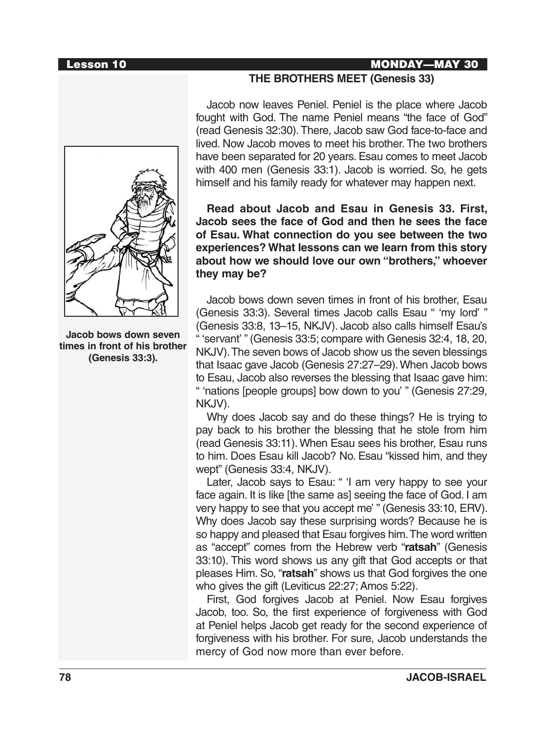### Lesson 10 MONDAY—MAY 30



**Jacob bows down seven times in front of his brother (Genesis 33:3).**

## **THE BROTHERS MEET (Genesis 33)**

Jacob now leaves Peniel. Peniel is the place where Jacob fought with God. The name Peniel means "the face of God" (read Genesis 32:30). There, Jacob saw God face-to-face and lived. Now Jacob moves to meet his brother. The two brothers have been separated for 20 years. Esau comes to meet Jacob with 400 men (Genesis 33:1). Jacob is worried. So, he gets himself and his family ready for whatever may happen next.

**Read about Jacob and Esau in Genesis 33. First, Jacob sees the face of God and then he sees the face of Esau. What connection do you see between the two experiences? What lessons can we learn from this story about how we should love our own "brothers," whoever they may be?**

Jacob bows down seven times in front of his brother, Esau (Genesis 33:3). Several times Jacob calls Esau " 'my lord' " (Genesis 33:8, 13–15, NKJV). Jacob also calls himself Esau's " 'servant' " (Genesis 33:5; compare with Genesis 32:4, 18, 20, NKJV). The seven bows of Jacob show us the seven blessings that Isaac gave Jacob (Genesis 27:27–29). When Jacob bows to Esau, Jacob also reverses the blessing that Isaac gave him: " 'nations [people groups] bow down to you' " (Genesis 27:29, NKJV).

Why does Jacob say and do these things? He is trying to pay back to his brother the blessing that he stole from him (read Genesis 33:11). When Esau sees his brother, Esau runs to him. Does Esau kill Jacob? No. Esau "kissed him, and they wept" (Genesis 33:4, NKJV).

Later, Jacob says to Esau: " 'I am very happy to see your face again. It is like [the same as] seeing the face of God. I am very happy to see that you accept me' " (Genesis 33:10, ERV). Why does Jacob say these surprising words? Because he is so happy and pleased that Esau forgives him. The word written as "accept" comes from the Hebrew verb "**ratsah**" (Genesis 33:10). This word shows us any gift that God accepts or that pleases Him. So, "**ratsah**" shows us that God forgives the one who gives the gift (Leviticus 22:27; Amos 5:22).

First, God forgives Jacob at Peniel. Now Esau forgives Jacob, too. So, the first experience of forgiveness with God at Peniel helps Jacob get ready for the second experience of forgiveness with his brother. For sure, Jacob understands the mercy of God now more than ever before.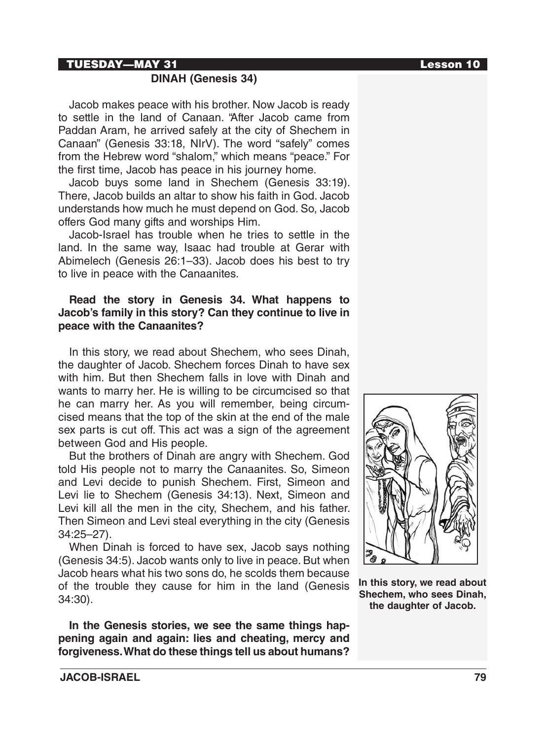### TUESDAY—MAY 31 Lesson 10

## **DINAH (Genesis 34)**

Jacob makes peace with his brother. Now Jacob is ready to settle in the land of Canaan. "After Jacob came from Paddan Aram, he arrived safely at the city of Shechem in Canaan" (Genesis 33:18, NIrV). The word "safely" comes from the Hebrew word "shalom," which means "peace." For the first time, Jacob has peace in his journey home.

Jacob buys some land in Shechem (Genesis 33:19). There, Jacob builds an altar to show his faith in God. Jacob understands how much he must depend on God. So, Jacob offers God many gifts and worships Him.

Jacob-Israel has trouble when he tries to settle in the land. In the same way, Isaac had trouble at Gerar with Abimelech (Genesis 26:1–33). Jacob does his best to try to live in peace with the Canaanites.

## **Read the story in Genesis 34. What happens to Jacob's family in this story? Can they continue to live in peace with the Canaanites?**

In this story, we read about Shechem, who sees Dinah, the daughter of Jacob. Shechem forces Dinah to have sex with him. But then Shechem falls in love with Dinah and wants to marry her. He is willing to be circumcised so that he can marry her. As you will remember, being circumcised means that the top of the skin at the end of the male sex parts is cut off. This act was a sign of the agreement between God and His people.

But the brothers of Dinah are angry with Shechem. God told His people not to marry the Canaanites. So, Simeon and Levi decide to punish Shechem. First, Simeon and Levi lie to Shechem (Genesis 34:13). Next, Simeon and Levi kill all the men in the city, Shechem, and his father. Then Simeon and Levi steal everything in the city (Genesis 34:25–27).

When Dinah is forced to have sex, Jacob says nothing (Genesis 34:5). Jacob wants only to live in peace. But when Jacob hears what his two sons do, he scolds them because of the trouble they cause for him in the land (Genesis 34:30).

**In the Genesis stories, we see the same things happening again and again: lies and cheating, mercy and forgiveness. What do these things tell us about humans?**



**In this story, we read about Shechem, who sees Dinah, the daughter of Jacob.**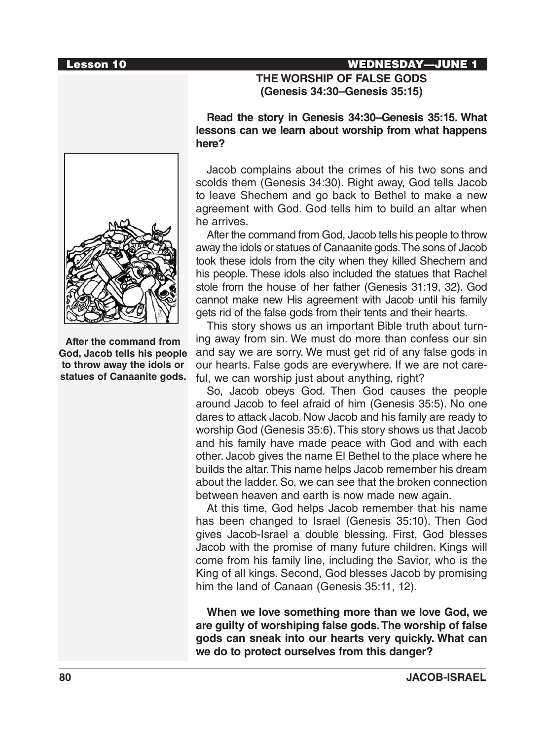#### Lesson 10 WEDNESDAY—JUNE 1

## **THE WORSHIP OF FALSE GODS (Genesis 34:30–Genesis 35:15)**

**Read the story in Genesis 34:30–Genesis 35:15. What lessons can we learn about worship from what happens here?**

Jacob complains about the crimes of his two sons and scolds them (Genesis 34:30). Right away, God tells Jacob to leave Shechem and go back to Bethel to make a new agreement with God. God tells him to build an altar when he arrives.

After the command from God, Jacob tells his people to throw away the idols or statues of Canaanite gods. The sons of Jacob took these idols from the city when they killed Shechem and his people. These idols also included the statues that Rachel stole from the house of her father (Genesis 31:19, 32). God cannot make new His agreement with Jacob until his family gets rid of the false gods from their tents and their hearts.

This story shows us an important Bible truth about turning away from sin. We must do more than confess our sin and say we are sorry. We must get rid of any false gods in our hearts. False gods are everywhere. If we are not careful, we can worship just about anything, right?

So, Jacob obeys God. Then God causes the people around Jacob to feel afraid of him (Genesis 35:5). No one dares to attack Jacob. Now Jacob and his family are ready to worship God (Genesis 35:6). This story shows us that Jacob and his family have made peace with God and with each other. Jacob gives the name El Bethel to the place where he builds the altar. This name helps Jacob remember his dream about the ladder. So, we can see that the broken connection between heaven and earth is now made new again.

At this time, God helps Jacob remember that his name has been changed to Israel (Genesis 35:10). Then God gives Jacob-Israel a double blessing. First, God blesses Jacob with the promise of many future children. Kings will come from his family line, including the Savior, who is the King of all kings. Second, God blesses Jacob by promising him the land of Canaan (Genesis 35:11, 12).

**When we love something more than we love God, we are guilty of worshiping false gods. The worship of false gods can sneak into our hearts very quickly. What can we do to protect ourselves from this danger?** 



**After the command from God, Jacob tells his people to throw away the idols or statues of Canaanite gods.**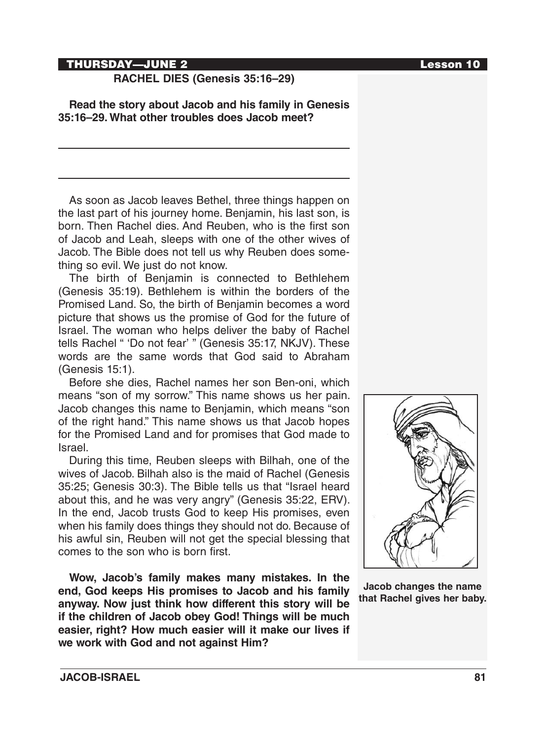#### THURSDAY—JUNE 2 Lesson 10

### **RACHEL DIES (Genesis 35:16–29)**

**Read the story about Jacob and his family in Genesis 35:16–29. What other troubles does Jacob meet?**

As soon as Jacob leaves Bethel, three things happen on the last part of his journey home. Benjamin, his last son, is born. Then Rachel dies. And Reuben, who is the first son of Jacob and Leah, sleeps with one of the other wives of Jacob. The Bible does not tell us why Reuben does something so evil. We just do not know.

The birth of Benjamin is connected to Bethlehem (Genesis 35:19). Bethlehem is within the borders of the Promised Land. So, the birth of Benjamin becomes a word picture that shows us the promise of God for the future of Israel. The woman who helps deliver the baby of Rachel tells Rachel " 'Do not fear' " (Genesis 35:17, NKJV). These words are the same words that God said to Abraham (Genesis 15:1).

Before she dies, Rachel names her son Ben-oni, which means "son of my sorrow." This name shows us her pain. Jacob changes this name to Benjamin, which means "son of the right hand." This name shows us that Jacob hopes for the Promised Land and for promises that God made to Israel.

During this time, Reuben sleeps with Bilhah, one of the wives of Jacob. Bilhah also is the maid of Rachel (Genesis 35:25; Genesis 30:3). The Bible tells us that "Israel heard about this, and he was very angry" (Genesis 35:22, ERV). In the end, Jacob trusts God to keep His promises, even when his family does things they should not do. Because of his awful sin, Reuben will not get the special blessing that comes to the son who is born first.

**Wow, Jacob's family makes many mistakes. In the end, God keeps His promises to Jacob and his family anyway. Now just think how different this story will be if the children of Jacob obey God! Things will be much easier, right? How much easier will it make our lives if we work with God and not against Him?** 



**Jacob changes the name that Rachel gives her baby.**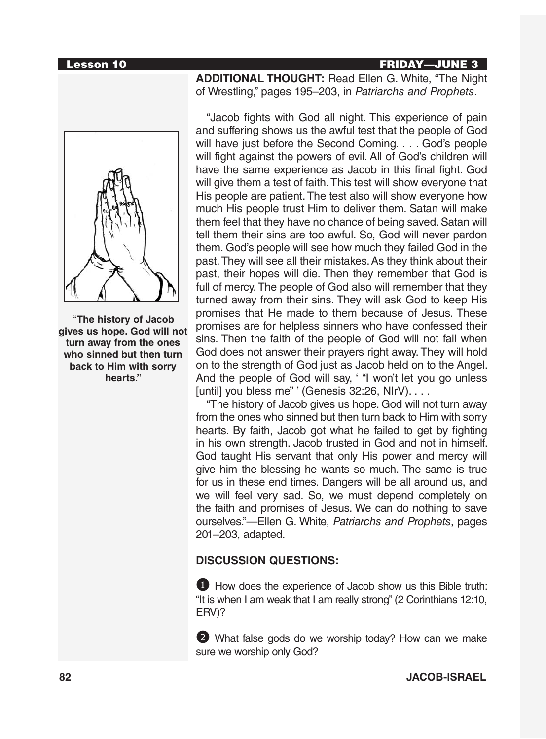#### Lesson 10 FRIDAY—JUNE 3

**"The history of Jacob gives us hope. God will not turn away from the ones who sinned but then turn back to Him with sorry hearts."**

**ADDITIONAL THOUGHT:** Read Ellen G. White, "The Night of Wrestling," pages 195–203, in *Patriarchs and Prophets*.

"Jacob fights with God all night. This experience of pain and suffering shows us the awful test that the people of God will have just before the Second Coming. . . . God's people will fight against the powers of evil. All of God's children will have the same experience as Jacob in this final fight. God will give them a test of faith. This test will show everyone that His people are patient. The test also will show everyone how much His people trust Him to deliver them. Satan will make them feel that they have no chance of being saved. Satan will tell them their sins are too awful. So, God will never pardon them. God's people will see how much they failed God in the past. They will see all their mistakes. As they think about their past, their hopes will die. Then they remember that God is full of mercy. The people of God also will remember that they turned away from their sins. They will ask God to keep His promises that He made to them because of Jesus. These promises are for helpless sinners who have confessed their sins. Then the faith of the people of God will not fail when God does not answer their prayers right away. They will hold on to the strength of God just as Jacob held on to the Angel. And the people of God will say, ' "I won't let you go unless [until] you bless me" ' (Genesis 32:26, NIrV). . . .

"The history of Jacob gives us hope. God will not turn away from the ones who sinned but then turn back to Him with sorry hearts. By faith, Jacob got what he failed to get by fighting in his own strength. Jacob trusted in God and not in himself. God taught His servant that only His power and mercy will give him the blessing he wants so much. The same is true for us in these end times. Dangers will be all around us, and we will feel very sad. So, we must depend completely on the faith and promises of Jesus. We can do nothing to save ourselves."—Ellen G. White, *Patriarchs and Prophets*, pages 201–203, adapted.

## **DISCUSSION QUESTIONS:**

1 How does the experience of Jacob show us this Bible truth: "It is when I am weak that I am really strong" (2 Corinthians 12:10, ERV)?

2 What false gods do we worship today? How can we make sure we worship only God?